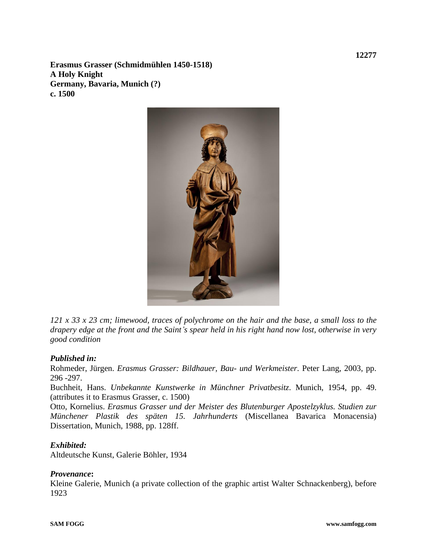**Erasmus Grasser (Schmidmühlen 1450-1518) A Holy Knight Germany, Bavaria, Munich (?) c. 1500**



*121 x 33 x 23 cm; limewood, traces of polychrome on the hair and the base, a small loss to the drapery edge at the front and the Saint's spear held in his right hand now lost, otherwise in very good condition*

### *Published in:*

Rohmeder, Jürgen. *Erasmus Grasser: Bildhauer, Bau- und Werkmeister*. Peter Lang, 2003, pp. 296 -297.

Buchheit, Hans. *Unbekannte Kunstwerke in Münchner Privatbesitz*. Munich, 1954, pp. 49. (attributes it to Erasmus Grasser, c. 1500)

Otto, Kornelius. *Erasmus Grasser und der Meister des Blutenburger Apostelzyklus. Studien zur Münchener Plastik des späten 15. Jahrhunderts* (Miscellanea Bavarica Monacensia) Dissertation, Munich, 1988, pp. 128ff.

# *Exhibited:*

Altdeutsche Kunst, Galerie Böhler, 1934

### *Provenance***:**

Kleine Galerie, Munich (a private collection of the graphic artist Walter Schnackenberg), before 1923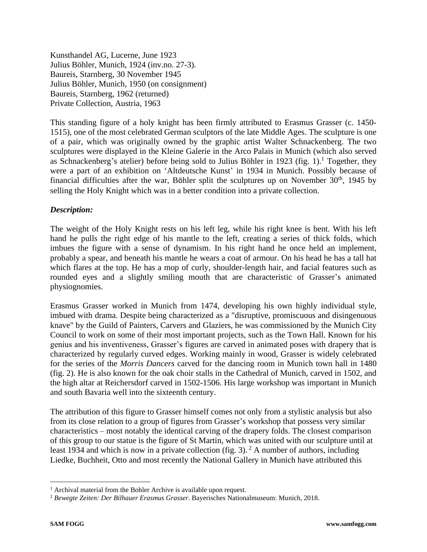Kunsthandel AG, Lucerne, June 1923 Julius Böhler, Munich, 1924 (inv.no. 27-3). Baureis, Starnberg, 30 November 1945 Julius Böhler, Munich, 1950 (on consignment) Baureis, Starnberg, 1962 (returned) Private Collection, Austria, 1963

This standing figure of a holy knight has been firmly attributed to Erasmus Grasser (c. 1450- 1515), one of the most celebrated German sculptors of the late Middle Ages. The sculpture is one of a pair, which was originally owned by the graphic artist Walter Schnackenberg. The two sculptures were displayed in the Kleine Galerie in the Arco Palais in Munich (which also served as Schnackenberg's atelier) before being sold to Julius Böhler in 1923 (fig. 1). Together, they were a part of an exhibition on 'Altdeutsche Kunst' in 1934 in Munich. Possibly because of financial difficulties after the war, Böhler split the sculptures up on November  $30<sup>th</sup>$ , 1945 by selling the Holy Knight which was in a better condition into a private collection.

# *Description:*

The weight of the Holy Knight rests on his left leg, while his right knee is bent. With his left hand he pulls the right edge of his mantle to the left, creating a series of thick folds, which imbues the figure with a sense of dynamism. In his right hand he once held an implement, probably a spear, and beneath his mantle he wears a coat of armour. On his head he has a tall hat which flares at the top. He has a mop of curly, shoulder-length hair, and facial features such as rounded eyes and a slightly smiling mouth that are characteristic of Grasser's animated physiognomies.

Erasmus Grasser worked in Munich from 1474, developing his own highly individual style, imbued with drama. Despite being characterized as a "disruptive, promiscuous and disingenuous knave" by the Guild of Painters, Carvers and Glaziers, he was commissioned by the Munich City Council to work on some of their most important projects, such as the Town Hall. Known for his genius and his inventiveness, Grasser's figures are carved in animated poses with drapery that is characterized by regularly curved edges. Working mainly in wood, Grasser is widely celebrated for the series of the *Morris Dancers* carved for the dancing room in Munich town hall in 1480 (fig. 2). He is also known for the oak choir stalls in the Cathedral of Munich, carved in 1502, and the high altar at [Reichersdorf](http://en.wikipedia.org/w/index.php?title=Reichersdorf&action=edit) carved in 1502-1506. His large workshop was important in Munich and south Bavaria well into the sixteenth century.

The attribution of this figure to Grasser himself comes not only from a stylistic analysis but also from its close relation to a group of figures from Grasser's workshop that possess very similar characteristics – most notably the identical carving of the drapery folds. The closest comparison of this group to our statue is the figure of St Martin, which was united with our sculpture until at least 1934 and which is now in a private collection (fig. 3).  $^2$  A number of authors, including Liedke, Buchheit, Otto and most recently the National Gallery in Munich have attributed this

<sup>&</sup>lt;sup>1</sup> Archival material from the Bohler Archive is available upon request.

<sup>2</sup> *Bewegte Zeiten: Der Bilhauer Erasmus Grasser*. Bayerisches Nationalmuseum: Munich, 2018.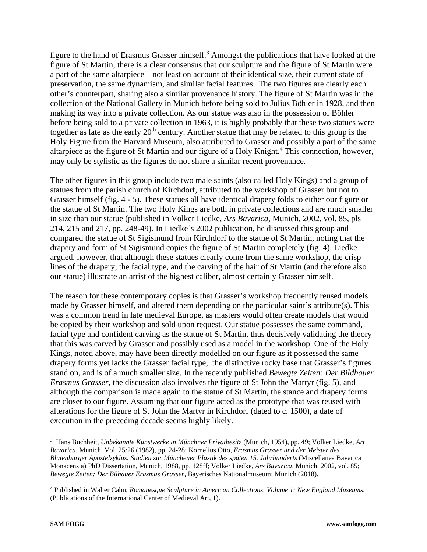figure to the hand of Erasmus Grasser himself. <sup>3</sup> Amongst the publications that have looked at the figure of St Martin, there is a clear consensus that our sculpture and the figure of St Martin were a part of the same altarpiece – not least on account of their identical size, their current state of preservation, the same dynamism, and similar facial features. The two figures are clearly each other's counterpart, sharing also a similar provenance history. The figure of St Martin was in the collection of the National Gallery in Munich before being sold to Julius Böhler in 1928, and then making its way into a private collection. As our statue was also in the possession of Böhler before being sold to a private collection in 1963, it is highly probably that these two statues were together as late as the early 20<sup>th</sup> century. Another statue that may be related to this group is the Holy Figure from the Harvard Museum, also attributed to Grasser and possibly a part of the same altarpiece as the figure of St Martin and our figure of a Holy Knight.<sup>4</sup> This connection, however, may only be stylistic as the figures do not share a similar recent provenance.

The other figures in this group include two male saints (also called Holy Kings) and a group of statues from the parish church of Kirchdorf, attributed to the workshop of Grasser but not to Grasser himself (fig. 4 - 5). These statues all have identical drapery folds to either our figure or the statue of St Martin. The two Holy Kings are both in private collections and are much smaller in size than our statue (published in Volker Liedke, *Ars Bavarica*, Munich, 2002, vol. 85, pls 214, 215 and 217, pp. 248-49). In Liedke's 2002 publication, he discussed this group and compared the statue of St Sigismund from Kirchdorf to the statue of St Martin, noting that the drapery and form of St Sigismund copies the figure of St Martin completely (fig. 4). Liedke argued, however, that although these statues clearly come from the same workshop, the crisp lines of the drapery, the facial type, and the carving of the hair of St Martin (and therefore also our statue) illustrate an artist of the highest caliber, almost certainly Grasser himself.

The reason for these contemporary copies is that Grasser's workshop frequently reused models made by Grasser himself, and altered them depending on the particular saint's attribute(s). This was a common trend in late medieval Europe, as masters would often create models that would be copied by their workshop and sold upon request. Our statue possesses the same command, facial type and confident carving as the statue of St Martin, thus decisively validating the theory that this was carved by Grasser and possibly used as a model in the workshop. One of the Holy Kings, noted above, may have been directly modelled on our figure as it possessed the same drapery forms yet lacks the Grasser facial type, the distinctive rocky base that Grasser's figures stand on, and is of a much smaller size. In the recently published *Bewegte Zeiten: Der Bildhauer Erasmus Grasser*, the discussion also involves the figure of St John the Martyr (fig. 5), and although the comparison is made again to the statue of St Martin, the stance and drapery forms are closer to our figure. Assuming that our figure acted as the prototype that was reused with alterations for the figure of St John the Martyr in Kirchdorf (dated to c. 1500), a date of execution in the preceding decade seems highly likely.

<sup>3</sup> Hans Buchheit, *Unbekannte Kunstwerke in Münchner Privatbesitz* (Munich, 1954), pp. 49; Volker Liedke, *Art Bavarica*, Munich, Vol. 25/26 (1982), pp. 24-28; Kornelius Otto*, Erasmus Grasser und der Meister des Blutenburger Apostelzyklus. Studien zur Münchener Plastik des späten 15. Jahrhunderts* (Miscellanea Bavarica Monacensia) PhD Dissertation, Munich, 1988, pp. 128ff; Volker Liedke, *Ars Bavarica*, Munich, 2002, vol. 85; *Bewegte Zeiten: Der Bilhauer Erasmus Grasser*, Bayerisches Nationalmuseum: Munich (2018).

<sup>4</sup> Published in Walter Cahn, *Romanesque Sculpture in American Collections. Volume 1: New England Museums.* (Publications of the International Center of Medieval Art, 1).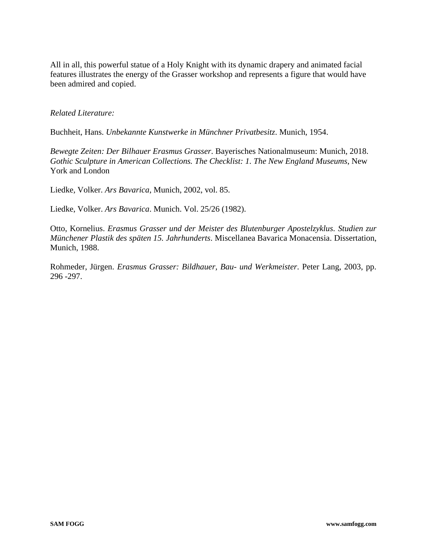All in all, this powerful statue of a Holy Knight with its dynamic drapery and animated facial features illustrates the energy of the Grasser workshop and represents a figure that would have been admired and copied.

## *Related Literature:*

Buchheit, Hans. *Unbekannte Kunstwerke in Münchner Privatbesitz*. Munich, 1954.

*Bewegte Zeiten: Der Bilhauer Erasmus Grasser*. Bayerisches Nationalmuseum: Munich, 2018. *Gothic Sculpture in American Collections. The Checklist: 1. The New England Museums*, New York and London

Liedke*,* Volker. *Ars Bavarica*, Munich, 2002, vol. 85.

Liedke, Volker. *Ars Bavarica*. Munich. Vol. 25/26 (1982).

Otto, Kornelius. *Erasmus Grasser und der Meister des Blutenburger Apostelzyklus. Studien zur Münchener Plastik des späten 15. Jahrhunderts*. Miscellanea Bavarica Monacensia. Dissertation, Munich, 1988.

Rohmeder, Jürgen. *Erasmus Grasser: Bildhauer, Bau- und Werkmeister*. Peter Lang, 2003, pp. 296 -297.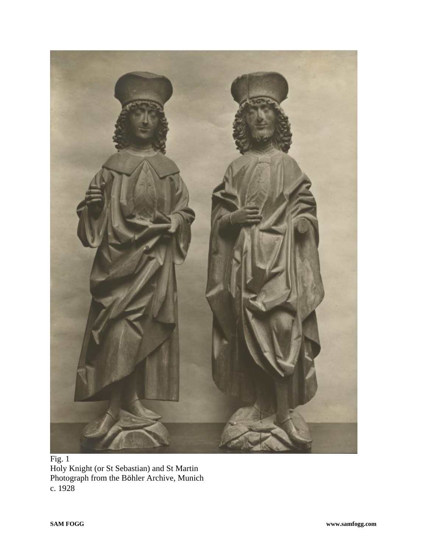

Fig. 1 Holy Knight (or St Sebastian) and St Martin Photograph from the Böhler Archive, Munich c. 1928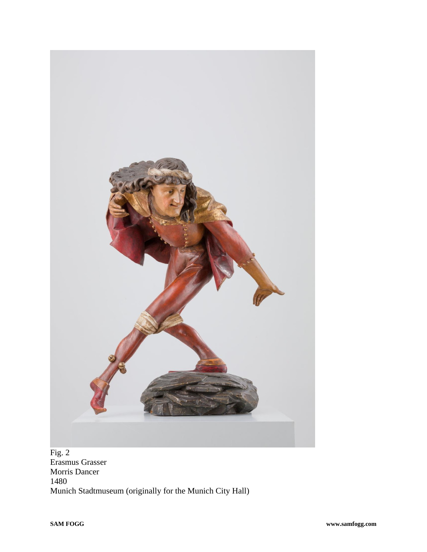

Fig. 2 Erasmus Grasser Morris Dancer 1480 Munich Stadtmuseum (originally for the Munich City Hall)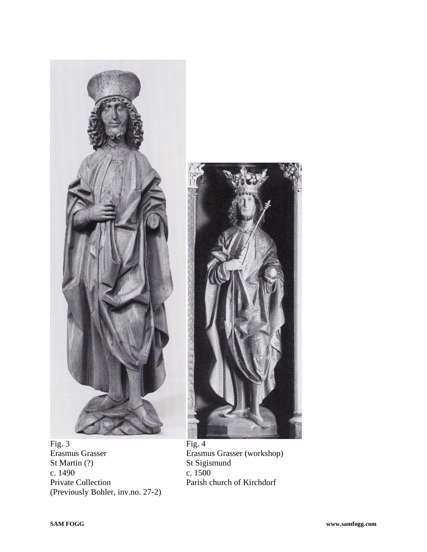

Fig. 3 Fig. 4<br>Erasmus Grasser Erasm St Martin (?)<br>
St Sigismund<br>
c. 1490<br>
c. 1500 c. 1490 c. 1500<br>Private Collection Parish c. (Previously Bohler, inv.no. 27-2)



Erasmus Grasser (workshop) Parish church of Kirchdorf